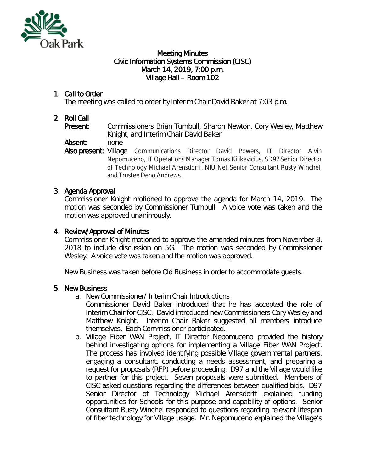

#### Meeting Minutes Civic Information Systems Commission (CISC) March 14, 2019, 7:00 p.m. Village Hall – Room 102

# 1. Call to Order

The meeting was called to order by Interim Chair David Baker at 7:03 p.m.

## 2. Roll Call

Present: Commissioners Brian Turnbull, Sharon Newton, Cory Wesley, Matthew Knight, and Interim Chair David Baker

Absent: none

Also present: Village Communications Director David Powers, IT Director Alvin Nepomuceno, IT Operations Manager Tomas Kilikevicius, SD97 Senior Director of Technology Michael Arensdorff, NIU Net Senior Consultant Rusty Winchel, and Trustee Deno Andrews.

## 3. Agenda Approval

Commissioner Knight motioned to approve the agenda for March 14, 2019. The motion was seconded by Commissioner Turnbull. A voice vote was taken and the motion was approved unanimously.

## 4. Review/Approval of Minutes

Commissioner Knight motioned to approve the amended minutes from November 8, 2018 to include discussion on 5G. The motion was seconded by Commissioner Wesley. A voice vote was taken and the motion was approved.

New Business was taken before Old Business in order to accommodate guests.

## 5. New Business

- a. New Commissioner/ Interim Chair Introductions
	- Commissioner David Baker introduced that he has accepted the role of Interim Chair for CISC. David introduced new Commissioners Cory Wesley and Matthew Knight. Interim Chair Baker suggested all members introduce themselves. Each Commissioner participated.
- b. Village Fiber WAN Project, IT Director Nepomuceno provided the history behind investigating options for implementing a Village Fiber WAN Project. The process has involved identifying possible Village governmental partners, engaging a consultant, conducting a needs assessment, and preparing a request for proposals (RFP) before proceeding. D97 and the Village would like to partner for this project. Seven proposals were submitted. Members of CISC asked questions regarding the differences between qualified bids. D97 Senior Director of Technology Michael Arensdorff explained funding opportunities for Schools for this purpose and capability of options. Senior Consultant Rusty Winchel responded to questions regarding relevant lifespan of fiber technology for Village usage. Mr. Nepomuceno explained the Village's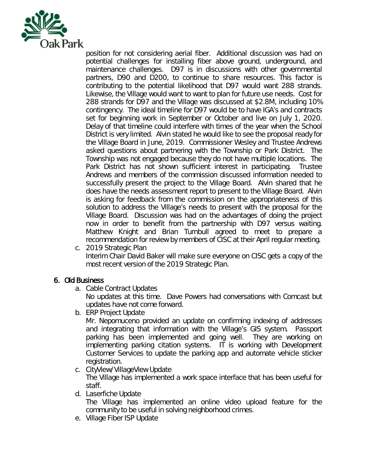

position for not considering aerial fiber. Additional discussion was had on potential challenges for installing fiber above ground, underground, and maintenance challenges. D97 is in discussions with other governmental partners, D90 and D200, to continue to share resources. This factor is contributing to the potential likelihood that D97 would want 288 strands. Likewise, the Village would want to want to plan for future use needs. Cost for 288 strands for D97 and the Village was discussed at \$2.8M, including 10% contingency. The ideal timeline for D97 would be to have IGA's and contracts set for beginning work in September or October and live on July 1, 2020. Delay of that timeline could interfere with times of the year when the School District is very limited. Alvin stated he would like to see the proposal ready for the Village Board in June, 2019. Commissioner Wesley and Trustee Andrews asked questions about partnering with the Township or Park District. The Township was not engaged because they do not have multiple locations. The Park District has not shown sufficient interest in participating. Trustee Andrews and members of the commission discussed information needed to successfully present the project to the Village Board. Alvin shared that he does have the needs assessment report to present to the Village Board. Alvin is asking for feedback from the commission on the appropriateness of this solution to address the Village's needs to present with the proposal for the Village Board. Discussion was had on the advantages of doing the project now in order to benefit from the partnership with D97 versus waiting. Matthew Knight and Brian Turnbull agreed to meet to prepare a recommendation for review by members of CISC at their April regular meeting.

c. 2019 Strategic Plan Interim Chair David Baker will make sure everyone on CISC gets a copy of the most recent version of the 2019 Strategic Plan.

## 6. Old Business

a. Cable Contract Updates

No updates at this time. Dave Powers had conversations with Comcast but updates have not come forward.

b. ERP Project Update

Mr. Nepomuceno provided an update on confirming indexing of addresses and integrating that information with the Village's GIS system. Passport parking has been implemented and going well. They are working on implementing parking citation systems. IT is working with Development Customer Services to update the parking app and automate vehicle sticker registration.

c. CityView/VillageView Update

The Village has implemented a work space interface that has been useful for staff.

d. Laserfiche Update

The Village has implemented an online video upload feature for the community to be useful in solving neighborhood crimes.

e. Village Fiber ISP Update